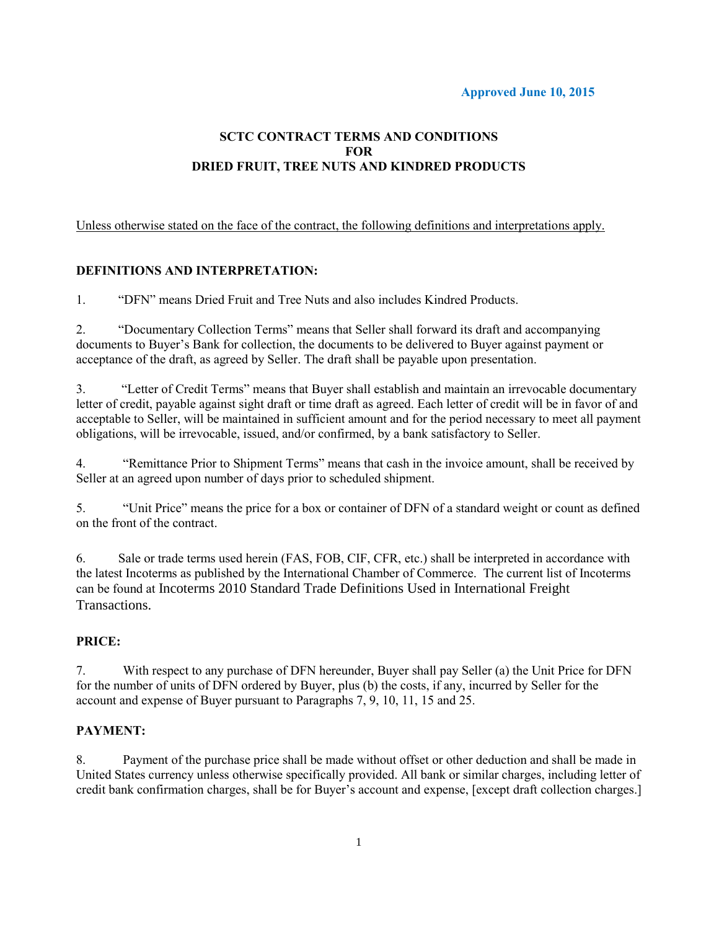#### **Approved June 10, 2015**

# **SCTC CONTRACT TERMS AND CONDITIONS FOR DRIED FRUIT, TREE NUTS AND KINDRED PRODUCTS**

Unless otherwise stated on the face of the contract, the following definitions and interpretations apply.

## **DEFINITIONS AND INTERPRETATION:**

1. "DFN" means Dried Fruit and Tree Nuts and also includes Kindred Products.

2. "Documentary Collection Terms" means that Seller shall forward its draft and accompanying documents to Buyer's Bank for collection, the documents to be delivered to Buyer against payment or acceptance of the draft, as agreed by Seller. The draft shall be payable upon presentation.

3. "Letter of Credit Terms" means that Buyer shall establish and maintain an irrevocable documentary letter of credit, payable against sight draft or time draft as agreed. Each letter of credit will be in favor of and acceptable to Seller, will be maintained in sufficient amount and for the period necessary to meet all payment obligations, will be irrevocable, issued, and/or confirmed, by a bank satisfactory to Seller.

4. "Remittance Prior to Shipment Terms" means that cash in the invoice amount, shall be received by Seller at an agreed upon number of days prior to scheduled shipment.

5. "Unit Price" means the price for a box or container of DFN of a standard weight or count as defined on the front of the contract.

6. Sale or trade terms used herein (FAS, FOB, CIF, CFR, etc.) shall be interpreted in accordance with the latest Incoterms as published by the International Chamber of Commerce. The current list of Incoterms can be found at Incoterms 2010 Standard Trade Definitions Used in International Freight Transactions.

#### **PRICE:**

7. With respect to any purchase of DFN hereunder, Buyer shall pay Seller (a) the Unit Price for DFN for the number of units of DFN ordered by Buyer, plus (b) the costs, if any, incurred by Seller for the account and expense of Buyer pursuant to Paragraphs 7, 9, 10, 11, 15 and 25.

#### **PAYMENT:**

8. Payment of the purchase price shall be made without offset or other deduction and shall be made in United States currency unless otherwise specifically provided. All bank or similar charges, including letter of credit bank confirmation charges, shall be for Buyer's account and expense, [except draft collection charges.]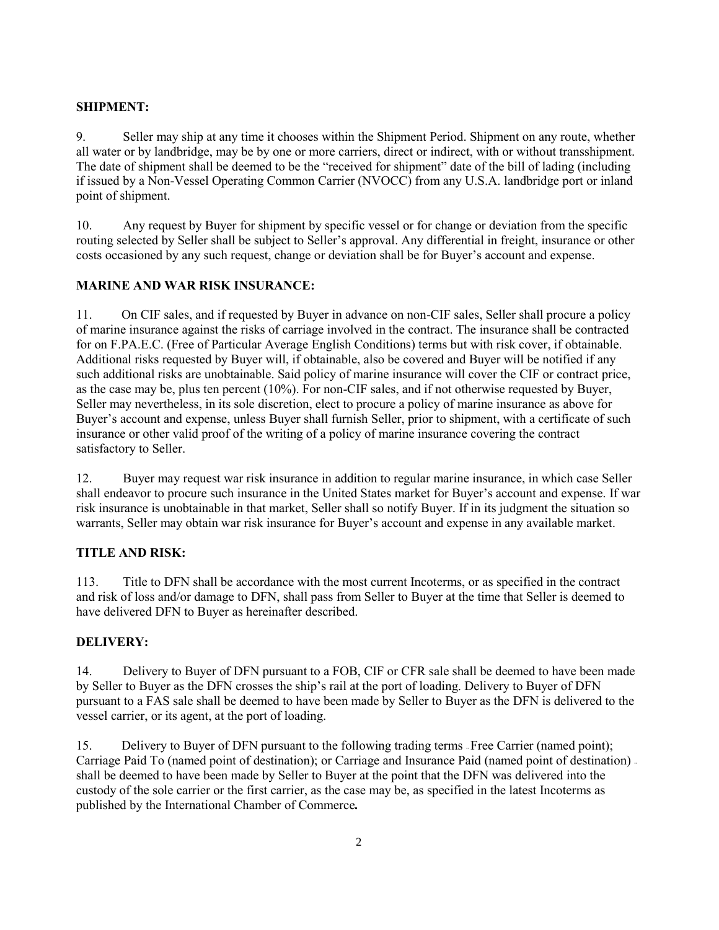## **SHIPMENT:**

9. Seller may ship at any time it chooses within the Shipment Period. Shipment on any route, whether all water or by landbridge, may be by one or more carriers, direct or indirect, with or without transshipment. The date of shipment shall be deemed to be the "received for shipment" date of the bill of lading (including if issued by a Non-Vessel Operating Common Carrier (NVOCC) from any U.S.A. landbridge port or inland point of shipment.

10. Any request by Buyer for shipment by specific vessel or for change or deviation from the specific routing selected by Seller shall be subject to Seller's approval. Any differential in freight, insurance or other costs occasioned by any such request, change or deviation shall be for Buyer's account and expense.

## **MARINE AND WAR RISK INSURANCE:**

11. On CIF sales, and if requested by Buyer in advance on non-CIF sales, Seller shall procure a policy of marine insurance against the risks of carriage involved in the contract. The insurance shall be contracted for on F.PA.E.C. (Free of Particular Average English Conditions) terms but with risk cover, if obtainable. Additional risks requested by Buyer will, if obtainable, also be covered and Buyer will be notified if any such additional risks are unobtainable. Said policy of marine insurance will cover the CIF or contract price, as the case may be, plus ten percent (10%). For non-CIF sales, and if not otherwise requested by Buyer, Seller may nevertheless, in its sole discretion, elect to procure a policy of marine insurance as above for Buyer's account and expense, unless Buyer shall furnish Seller, prior to shipment, with a certificate of such insurance or other valid proof of the writing of a policy of marine insurance covering the contract satisfactory to Seller.

12. Buyer may request war risk insurance in addition to regular marine insurance, in which case Seller shall endeavor to procure such insurance in the United States market for Buyer's account and expense. If war risk insurance is unobtainable in that market, Seller shall so notify Buyer. If in its judgment the situation so warrants, Seller may obtain war risk insurance for Buyer's account and expense in any available market.

## **TITLE AND RISK:**

113. Title to DFN shall be accordance with the most current Incoterms, or as specified in the contract and risk of loss and/or damage to DFN, shall pass from Seller to Buyer at the time that Seller is deemed to have delivered DFN to Buyer as hereinafter described.

## **DELIVERY:**

14. Delivery to Buyer of DFN pursuant to a FOB, CIF or CFR sale shall be deemed to have been made by Seller to Buyer as the DFN crosses the ship's rail at the port of loading. Delivery to Buyer of DFN pursuant to a FAS sale shall be deemed to have been made by Seller to Buyer as the DFN is delivered to the vessel carrier, or its agent, at the port of loading.

15. Delivery to Buyer of DFN pursuant to the following trading terms -- Free Carrier (named point); Carriage Paid To (named point of destination); or Carriage and Insurance Paid (named point of destination). shall be deemed to have been made by Seller to Buyer at the point that the DFN was delivered into the custody of the sole carrier or the first carrier, as the case may be, as specified in the latest Incoterms as published by the International Chamber of Commerce*.*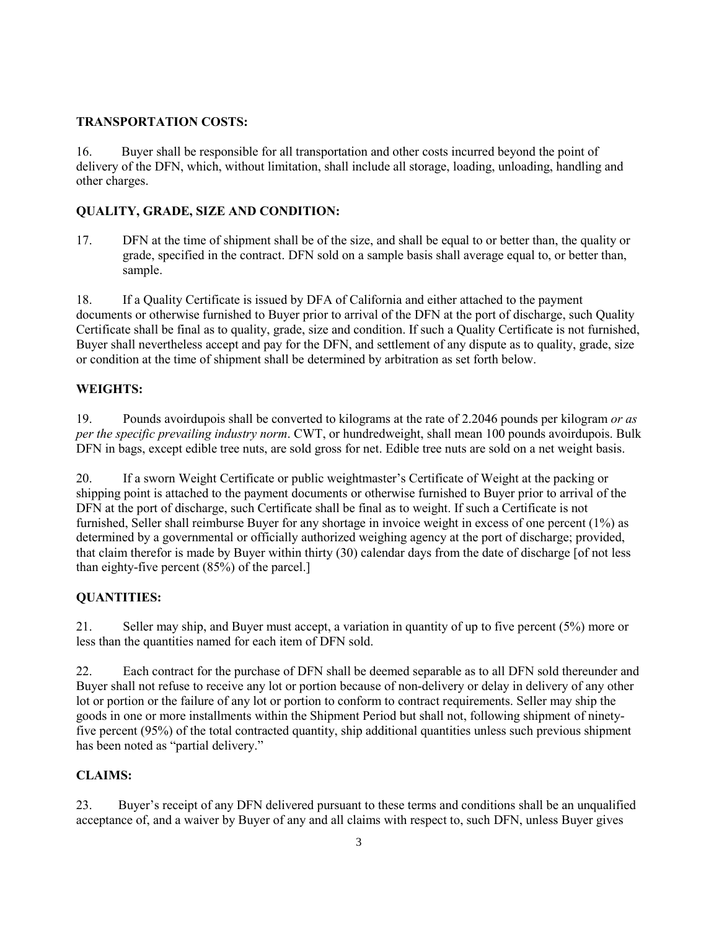#### **TRANSPORTATION COSTS:**

16. Buyer shall be responsible for all transportation and other costs incurred beyond the point of delivery of the DFN, which, without limitation, shall include all storage, loading, unloading, handling and other charges.

## **QUALITY, GRADE, SIZE AND CONDITION:**

17. DFN at the time of shipment shall be of the size, and shall be equal to or better than, the quality or grade, specified in the contract. DFN sold on a sample basis shall average equal to, or better than, sample.

18. If a Quality Certificate is issued by DFA of California and either attached to the payment documents or otherwise furnished to Buyer prior to arrival of the DFN at the port of discharge, such Quality Certificate shall be final as to quality, grade, size and condition. If such a Quality Certificate is not furnished, Buyer shall nevertheless accept and pay for the DFN, and settlement of any dispute as to quality, grade, size or condition at the time of shipment shall be determined by arbitration as set forth below.

## **WEIGHTS:**

19. Pounds avoirdupois shall be converted to kilograms at the rate of 2.2046 pounds per kilogram *or as per the specific prevailing industry norm*. CWT, or hundredweight, shall mean 100 pounds avoirdupois. Bulk DFN in bags, except edible tree nuts, are sold gross for net. Edible tree nuts are sold on a net weight basis.

20. If a sworn Weight Certificate or public weightmaster's Certificate of Weight at the packing or shipping point is attached to the payment documents or otherwise furnished to Buyer prior to arrival of the DFN at the port of discharge, such Certificate shall be final as to weight. If such a Certificate is not furnished, Seller shall reimburse Buyer for any shortage in invoice weight in excess of one percent (1%) as determined by a governmental or officially authorized weighing agency at the port of discharge; provided, that claim therefor is made by Buyer within thirty (30) calendar days from the date of discharge [of not less than eighty-five percent (85%) of the parcel.]

## **QUANTITIES:**

21. Seller may ship, and Buyer must accept, a variation in quantity of up to five percent (5%) more or less than the quantities named for each item of DFN sold.

22. Each contract for the purchase of DFN shall be deemed separable as to all DFN sold thereunder and Buyer shall not refuse to receive any lot or portion because of non-delivery or delay in delivery of any other lot or portion or the failure of any lot or portion to conform to contract requirements. Seller may ship the goods in one or more installments within the Shipment Period but shall not, following shipment of ninetyfive percent (95%) of the total contracted quantity, ship additional quantities unless such previous shipment has been noted as "partial delivery."

## **CLAIMS:**

23. Buyer's receipt of any DFN delivered pursuant to these terms and conditions shall be an unqualified acceptance of, and a waiver by Buyer of any and all claims with respect to, such DFN, unless Buyer gives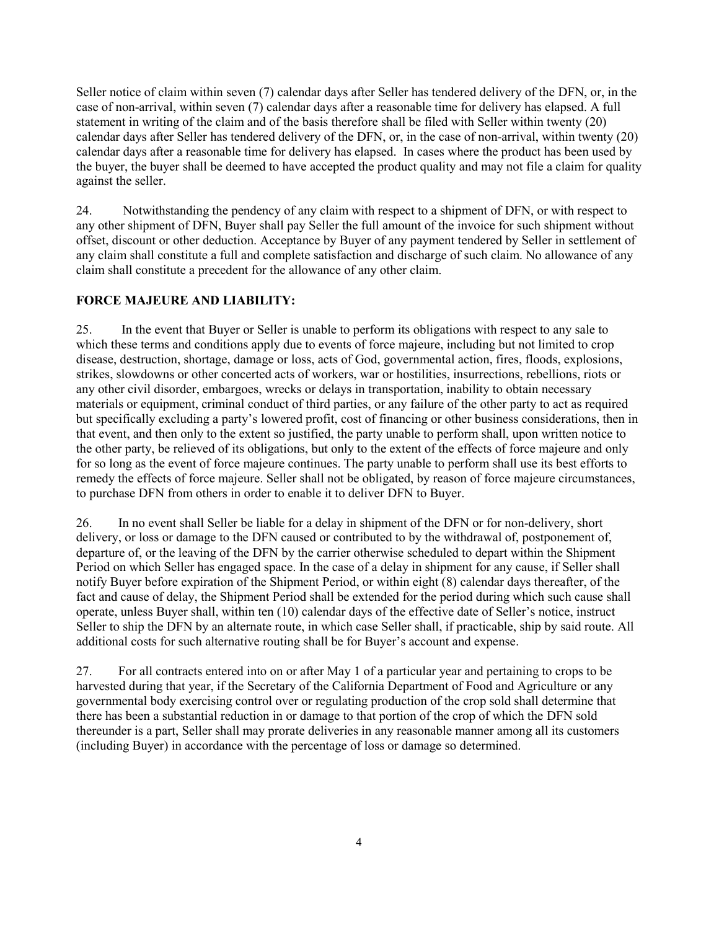Seller notice of claim within seven (7) calendar days after Seller has tendered delivery of the DFN, or, in the case of non-arrival, within seven (7) calendar days after a reasonable time for delivery has elapsed. A full statement in writing of the claim and of the basis therefore shall be filed with Seller within twenty (20) calendar days after Seller has tendered delivery of the DFN, or, in the case of non-arrival, within twenty (20) calendar days after a reasonable time for delivery has elapsed. In cases where the product has been used by the buyer, the buyer shall be deemed to have accepted the product quality and may not file a claim for quality against the seller.

24. Notwithstanding the pendency of any claim with respect to a shipment of DFN, or with respect to any other shipment of DFN, Buyer shall pay Seller the full amount of the invoice for such shipment without offset, discount or other deduction. Acceptance by Buyer of any payment tendered by Seller in settlement of any claim shall constitute a full and complete satisfaction and discharge of such claim. No allowance of any claim shall constitute a precedent for the allowance of any other claim.

## **FORCE MAJEURE AND LIABILITY:**

25. In the event that Buyer or Seller is unable to perform its obligations with respect to any sale to which these terms and conditions apply due to events of force majeure, including but not limited to crop disease, destruction, shortage, damage or loss, acts of God, governmental action, fires, floods, explosions, strikes, slowdowns or other concerted acts of workers, war or hostilities, insurrections, rebellions, riots or any other civil disorder, embargoes, wrecks or delays in transportation, inability to obtain necessary materials or equipment, criminal conduct of third parties, or any failure of the other party to act as required but specifically excluding a party's lowered profit, cost of financing or other business considerations, then in that event, and then only to the extent so justified, the party unable to perform shall, upon written notice to the other party, be relieved of its obligations, but only to the extent of the effects of force majeure and only for so long as the event of force majeure continues. The party unable to perform shall use its best efforts to remedy the effects of force majeure. Seller shall not be obligated, by reason of force majeure circumstances, to purchase DFN from others in order to enable it to deliver DFN to Buyer.

26. In no event shall Seller be liable for a delay in shipment of the DFN or for non-delivery, short delivery, or loss or damage to the DFN caused or contributed to by the withdrawal of, postponement of, departure of, or the leaving of the DFN by the carrier otherwise scheduled to depart within the Shipment Period on which Seller has engaged space. In the case of a delay in shipment for any cause, if Seller shall notify Buyer before expiration of the Shipment Period, or within eight (8) calendar days thereafter, of the fact and cause of delay, the Shipment Period shall be extended for the period during which such cause shall operate, unless Buyer shall, within ten (10) calendar days of the effective date of Seller's notice, instruct Seller to ship the DFN by an alternate route, in which case Seller shall, if practicable, ship by said route. All additional costs for such alternative routing shall be for Buyer's account and expense.

27. For all contracts entered into on or after May 1 of a particular year and pertaining to crops to be harvested during that year, if the Secretary of the California Department of Food and Agriculture or any governmental body exercising control over or regulating production of the crop sold shall determine that there has been a substantial reduction in or damage to that portion of the crop of which the DFN sold thereunder is a part, Seller shall may prorate deliveries in any reasonable manner among all its customers (including Buyer) in accordance with the percentage of loss or damage so determined.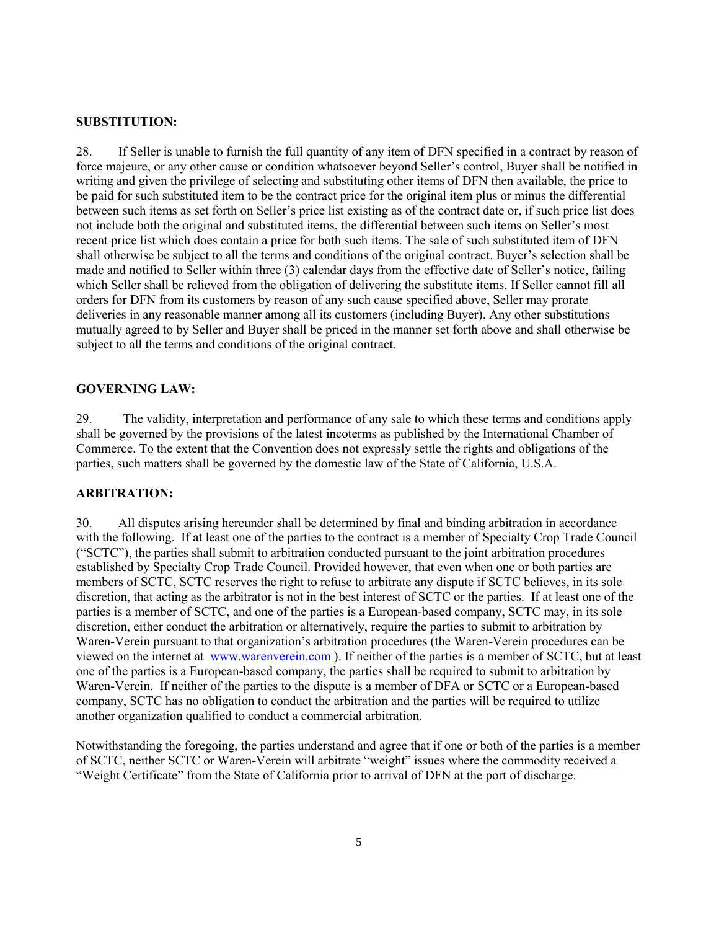#### **SUBSTITUTION:**

28. If Seller is unable to furnish the full quantity of any item of DFN specified in a contract by reason of force majeure, or any other cause or condition whatsoever beyond Seller's control, Buyer shall be notified in writing and given the privilege of selecting and substituting other items of DFN then available, the price to be paid for such substituted item to be the contract price for the original item plus or minus the differential between such items as set forth on Seller's price list existing as of the contract date or, if such price list does not include both the original and substituted items, the differential between such items on Seller's most recent price list which does contain a price for both such items. The sale of such substituted item of DFN shall otherwise be subject to all the terms and conditions of the original contract. Buyer's selection shall be made and notified to Seller within three (3) calendar days from the effective date of Seller's notice, failing which Seller shall be relieved from the obligation of delivering the substitute items. If Seller cannot fill all orders for DFN from its customers by reason of any such cause specified above, Seller may prorate deliveries in any reasonable manner among all its customers (including Buyer). Any other substitutions mutually agreed to by Seller and Buyer shall be priced in the manner set forth above and shall otherwise be subject to all the terms and conditions of the original contract.

#### **GOVERNING LAW:**

29. The validity, interpretation and performance of any sale to which these terms and conditions apply shall be governed by the provisions of the latest incoterms as published by the International Chamber of Commerce. To the extent that the Convention does not expressly settle the rights and obligations of the parties, such matters shall be governed by the domestic law of the State of California, U.S.A.

#### **ARBITRATION:**

30. All disputes arising hereunder shall be determined by final and binding arbitration in accordance with the following. If at least one of the parties to the contract is a member of Specialty Crop Trade Council ("SCTC"), the parties shall submit to arbitration conducted pursuant to the joint arbitration procedures established by Specialty Crop Trade Council. Provided however, that even when one or both parties are members of SCTC, SCTC reserves the right to refuse to arbitrate any dispute if SCTC believes, in its sole discretion, that acting as the arbitrator is not in the best interest of SCTC or the parties. If at least one of the parties is a member of SCTC, and one of the parties is a European-based company, SCTC may, in its sole discretion, either conduct the arbitration or alternatively, require the parties to submit to arbitration by Waren-Verein pursuant to that organization's arbitration procedures (the Waren-Verein procedures can be viewed on the internet at [www.warenverein.com](http://www.warenverein.com/) ). If neither of the parties is a member of SCTC, but at least one of the parties is a European-based company, the parties shall be required to submit to arbitration by Waren-Verein. If neither of the parties to the dispute is a member of DFA or SCTC or a European-based company, SCTC has no obligation to conduct the arbitration and the parties will be required to utilize another organization qualified to conduct a commercial arbitration.

Notwithstanding the foregoing, the parties understand and agree that if one or both of the parties is a member of SCTC, neither SCTC or Waren-Verein will arbitrate "weight" issues where the commodity received a "Weight Certificate" from the State of California prior to arrival of DFN at the port of discharge.